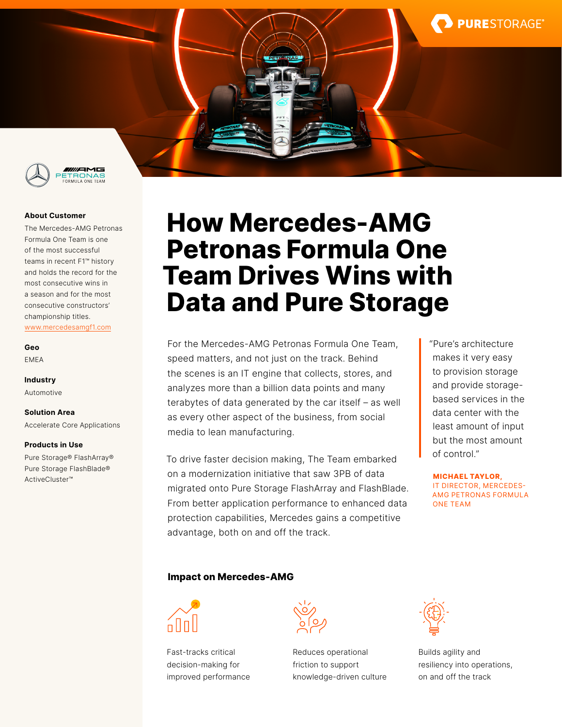

### **About Customer**

The Mercedes-AMG Petronas Formula One Team is one of the most successful teams in recent F1™ history and holds the record for the most consecutive wins in a season and for the most consecutive constructors' championship titles. [www.mercedesamgf1.com](http://www.mercedesamgf1.com)

**Geo** EMEA

**Industry** Automotive

**Solution Area**

Accelerate Core Applications

#### **Products in Use**

Pure Storage® FlashArray® Pure Storage FlashBlade® ActiveCluster™

# **How Mercedes-AMG Petronas Formula One Team Drives Wins with Data and Pure Storage**

For the Mercedes-AMG Petronas Formula One Team, speed matters, and not just on the track. Behind the scenes is an IT engine that collects, stores, and analyzes more than a billion data points and many terabytes of data generated by the car itself – as well as every other aspect of the business, from social media to lean manufacturing.

To drive faster decision making, The Team embarked on a modernization initiative that saw 3PB of data migrated onto Pure Storage FlashArray and FlashBlade. From better application performance to enhanced data protection capabilities, Mercedes gains a competitive advantage, both on and off the track.

"Pure's architecture makes it very easy to provision storage and provide storagebased services in the data center with the least amount of input but the most amount of control."

**PURESTORAGE®** 

**MICHAEL TAYLOR,**  IT DIRECTOR, MERCEDES-AMG PETRONAS FORMULA ONE TEAM

# **Impact on Mercedes-AMG**



Fast-tracks critical decision-making for improved performance



Reduces operational friction to support knowledge-driven culture



Builds agility and resiliency into operations, on and off the track